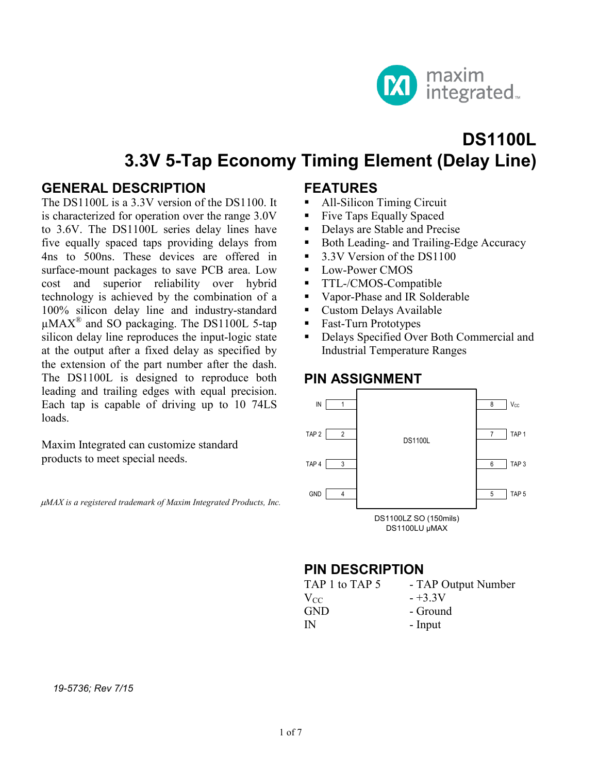

# **DS1100L 3.3V 5-Tap Economy Timing Element (Delay Line)**

#### **GENERAL DESCRIPTION**

The DS1100L is a 3.3V version of the DS1100. It is characterized for operation over the range 3.0V to 3.6V. The DS1100L series delay lines have five equally spaced taps providing delays from 4ns to 500ns. These devices are offered in surface-mount packages to save PCB area. Low cost and superior reliability over hybrid technology is achieved by the combination of a 100% silicon delay line and industry-standard  $\mu$ MAX<sup>®</sup> and SO packaging. The DS1100L 5-tap silicon delay line reproduces the input-logic state at the output after a fixed delay as specified by the extension of the part number after the dash. The DS1100L is designed to reproduce both leading and trailing edges with equal precision. Each tap is capable of driving up to 10 74LS loads.

Maxim Integrated can customize standard products to meet special needs.

µ*MAX is a registered trademark of Maxim Integrated Products, Inc.*

#### **FEATURES**

- All-Silicon Timing Circuit
- Five Taps Equally Spaced
- Delays are Stable and Precise
- Both Leading- and Trailing-Edge Accuracy
- 3.3V Version of the DS1100
- **Low-Power CMOS**
- **TTL-/CMOS-Compatible**
- Vapor-Phase and IR Solderable
- Custom Delays Available
- Fast-Turn Prototypes
- Delays Specified Over Both Commercial and Industrial Temperature Ranges

#### **PIN ASSIGNMENT**



#### **PIN DESCRIPTION**

| - TAP Output Number |
|---------------------|
| $-+3.3V$            |
| - Ground            |
| - Input             |
|                     |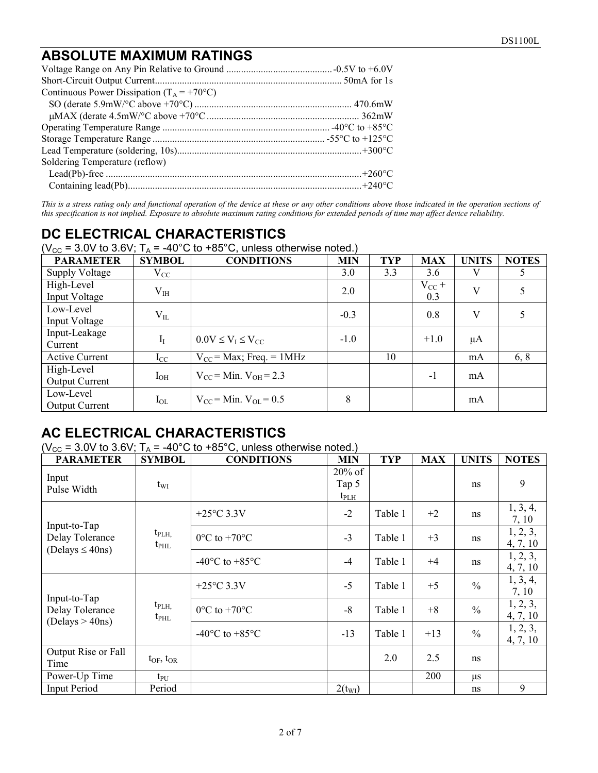### **ABSOLUTE MAXIMUM RATINGS**

| Continuous Power Dissipation ( $T_A = +70^{\circ}C$ ) |  |
|-------------------------------------------------------|--|
|                                                       |  |
|                                                       |  |
|                                                       |  |
|                                                       |  |
|                                                       |  |
| Soldering Temperature (reflow)                        |  |
|                                                       |  |
|                                                       |  |

This is a stress rating only and functional operation of the device at these or any other conditions above those indicated in the operation sections of *this specification is not implied. Exposure to absolute maximum rating conditions for extended periods of time may affect device reliability.*

## **DC ELECTRICAL CHARACTERISTICS**

( $V_{CC}$  = 3.0V to 3.6V;  $T_A$  = -40°C to +85°C, unless otherwise noted.)

| <b>PARAMETER</b>                    | <b>SYMBOL</b> | <b>CONDITIONS</b>              | <b>MIN</b> | <b>TYP</b> | <b>MAX</b>        | <b>UNITS</b> | <b>NOTES</b> |
|-------------------------------------|---------------|--------------------------------|------------|------------|-------------------|--------------|--------------|
| Supply Voltage                      | $\rm V_{CC}$  |                                | 3.0        | 3.3        | 3.6               | V            |              |
| High-Level<br>Input Voltage         | $\rm V_{IH}$  |                                | 2.0        |            | $V_{CC}$ +<br>0.3 | V            |              |
| Low-Level<br>Input Voltage          | $\rm V_{II}$  |                                | $-0.3$     |            | 0.8               | V            |              |
| Input-Leakage<br>Current            | $I_I$         | $0.0 V \leq V_I \leq V_{CC}$   | $-1.0$     |            | $+1.0$            | $\mu A$      |              |
| <b>Active Current</b>               | $I_{\rm CC}$  | $V_{CC}$ = Max; Freq. = 1MHz   |            | 10         |                   | mA           | 6, 8         |
| High-Level<br><b>Output Current</b> | $I_{OH}$      | $V_{CC}$ = Min. $V_{OH}$ = 2.3 |            |            | $-1$              | mA           |              |
| Low-Level<br><b>Output Current</b>  | $I_{OL}$      | $V_{CC}$ = Min. $V_{OL}$ = 0.5 | 8          |            |                   | mA           |              |

### **AC ELECTRICAL CHARACTERISTICS**

( $V_{\text{CC}}$  = 3.0V to 3.6V;  $T_{\text{A}}$  = -40°C to +85°C, unless otherwise noted.)

| <b>PARAMETER</b>                                   | <b>SYMBOL</b>                  | <b>CONDITIONS</b>                            | <b>MIN</b>                          | <b>TYP</b> | <b>MAX</b> | <b>UNITS</b>  | <b>NOTES</b>         |
|----------------------------------------------------|--------------------------------|----------------------------------------------|-------------------------------------|------------|------------|---------------|----------------------|
| Input<br>Pulse Width                               | $t_{\rm WI}$                   |                                              | $20\%$ of<br>Tap 5<br>$t_{\rm PLH}$ |            |            | ns            | 9                    |
|                                                    |                                | $+25^{\circ}$ C 3.3V                         | $-2$                                | Table 1    | $+2$       | ns            | 1, 3, 4,<br>7, 10    |
| Input-to-Tap<br>Delay Tolerance                    | $t_{\rm PLH}$<br>$t_{\rm PHL}$ | $0^{\circ}$ C to +70 $^{\circ}$ C            | $-3$                                | Table 1    | $+3$       | ns            | 1, 2, 3,<br>4, 7, 10 |
| (Delays $\leq$ 40ns)                               |                                | -40 $\rm{^{\circ}C}$ to +85 $\rm{^{\circ}C}$ | $-4$                                | Table 1    | $+4$       | ns            | 1, 2, 3,<br>4, 7, 10 |
|                                                    |                                | $+25^{\circ}$ C 3.3V                         | $-5$                                | Table 1    | $+5$       | $\frac{0}{0}$ | 1, 3, 4,<br>7, 10    |
| Input-to-Tap<br>Delay Tolerance<br>(Delays > 40ns) | $t_{\rm PLH}$<br>$t_{\rm PHL}$ | $0^{\circ}$ C to +70 $^{\circ}$ C            | $-8$                                | Table 1    | $+8$       | $\frac{0}{0}$ | 1, 2, 3,<br>4, 7, 10 |
|                                                    |                                | -40 $\rm{^{\circ}C}$ to +85 $\rm{^{\circ}C}$ | $-13$                               | Table 1    | $+13$      | $\frac{0}{0}$ | 1, 2, 3,<br>4, 7, 10 |
| Output Rise or Fall<br>Time                        | $t_{OF}$ , $t_{OR}$            |                                              |                                     | 2.0        | 2.5        | ns            |                      |
| Power-Up Time                                      | $t_{PU}$                       |                                              |                                     |            | 200        | μs            |                      |
| Input Period                                       | Period                         |                                              | $2(t_{\rm WI})$                     |            |            | ns            | 9                    |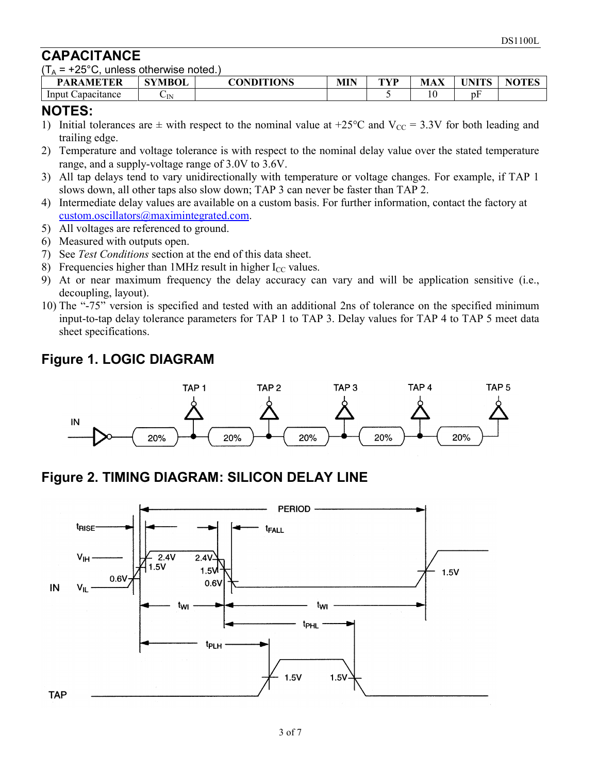### **CAPACITANCE**

 $(T_A = +25^{\circ}C$ , unless otherwise noted.)

| <b>PARAMETER</b>     | <b>SYMBOL</b> | <b>CONDITIONS</b> | <b>MIN</b> | TVD<br>. . | $\mathbf{v}$<br><b>MAX</b> | <b>TINITE</b> C<br>'NL<br>▪ | NOTES<br>그 보지 |
|----------------------|---------------|-------------------|------------|------------|----------------------------|-----------------------------|---------------|
| Input<br>Capacitance | ∪N            |                   |            |            | 10                         | $\mathbf{r}$<br>DF          |               |

#### **NOTES:**

- 1) Initial tolerances are  $\pm$  with respect to the nominal value at +25°C and V<sub>CC</sub> = 3.3V for both leading and trailing edge.
- 2) Temperature and voltage tolerance is with respect to the nominal delay value over the stated temperature range, and a supply-voltage range of 3.0V to 3.6V.
- 3) All tap delays tend to vary unidirectionally with temperature or voltage changes. For example, if TAP 1 slows down, all other taps also slow down; TAP 3 can never be faster than TAP 2.
- 4) Intermediate delay values are available on a custom basis. For further information, contact the factory at [custom.oscillators@maximintegrated.com.](mailto:custom.oscillators@maximintegrated.com)
- 5) All voltages are referenced to ground.
- 6) Measured with outputs open.
- 7) See *Test Conditions* section at the end of this data sheet.
- 8) Frequencies higher than  $1$ MHz result in higher I<sub>CC</sub> values.
- 9) At or near maximum frequency the delay accuracy can vary and will be application sensitive (i.e., decoupling, layout).
- 10) The "-75" version is specified and tested with an additional 2ns of tolerance on the specified minimum input-to-tap delay tolerance parameters for TAP 1 to TAP 3. Delay values for TAP 4 to TAP 5 meet data sheet specifications.

### **Figure 1. LOGIC DIAGRAM**



### **Figure 2. TIMING DIAGRAM: SILICON DELAY LINE**

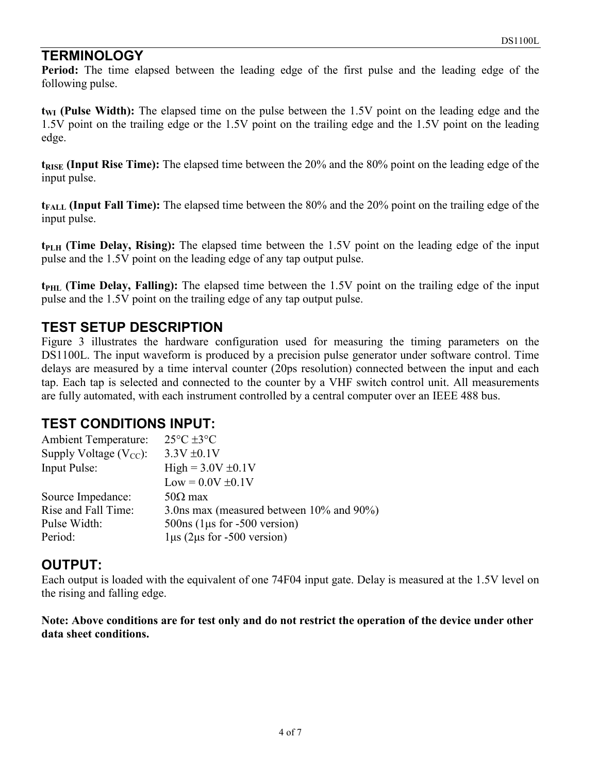### **TERMINOLOGY**

**Period:** The time elapsed between the leading edge of the first pulse and the leading edge of the following pulse.

**t<sub>WI</sub>** (Pulse Width): The elapsed time on the pulse between the 1.5V point on the leading edge and the 1.5V point on the trailing edge or the 1.5V point on the trailing edge and the 1.5V point on the leading edge.

**t<sub>RISE</sub>** (Input Rise Time): The elapsed time between the 20% and the 80% point on the leading edge of the input pulse.

**tFALL (Input Fall Time):** The elapsed time between the 80% and the 20% point on the trailing edge of the input pulse.

**tPLH (Time Delay, Rising):** The elapsed time between the 1.5V point on the leading edge of the input pulse and the 1.5V point on the leading edge of any tap output pulse.

**t**<sub>PHL</sub> (Time Delay, Falling): The elapsed time between the 1.5V point on the trailing edge of the input pulse and the 1.5V point on the trailing edge of any tap output pulse.

### **TEST SETUP DESCRIPTION**

Figure 3 illustrates the hardware configuration used for measuring the timing parameters on the DS1100L. The input waveform is produced by a precision pulse generator under software control. Time delays are measured by a time interval counter (20ps resolution) connected between the input and each tap. Each tap is selected and connected to the counter by a VHF switch control unit. All measurements are fully automated, with each instrument controlled by a central computer over an IEEE 488 bus.

### **TEST CONDITIONS INPUT:**

| <b>Ambient Temperature:</b> | $25^{\circ}$ C $\pm 3^{\circ}$ C         |
|-----------------------------|------------------------------------------|
| Supply Voltage $(V_{CC})$ : | $3.3V \pm 0.1V$                          |
| Input Pulse:                | $High = 3.0V \pm 0.1V$                   |
|                             | $Low = 0.0V \pm 0.1V$                    |
| Source Impedance:           | $50\Omega$ max                           |
| Rise and Fall Time:         | 3.0 m max (measured between 10% and 90%) |
| Pulse Width:                | $500ns$ (1 µs for $-500$ version)        |
| Period:                     | $1\mu s$ (2 $\mu s$ for -500 version)    |

#### **OUTPUT:**

Each output is loaded with the equivalent of one 74F04 input gate. Delay is measured at the 1.5V level on the rising and falling edge.

**Note: Above conditions are for test only and do not restrict the operation of the device under other data sheet conditions.**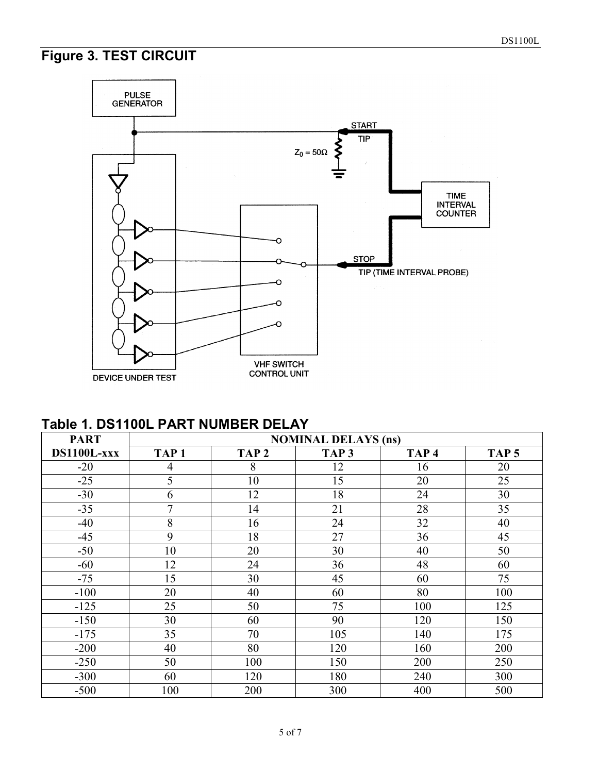# **Figure 3. TEST CIRCUIT**



**Table 1. DS1100L PART NUMBER DELAY** 

| <b>PART</b> |                  |                  | <b>NOMINAL DELAYS (ns)</b> |                  |                  |
|-------------|------------------|------------------|----------------------------|------------------|------------------|
| DS1100L-xxx | TAP <sub>1</sub> | TAP <sub>2</sub> | TAP <sub>3</sub>           | TAP <sub>4</sub> | TAP <sub>5</sub> |
| $-20$       | 4                | 8                | 12                         | 16               | 20               |
| $-25$       | 5                | 10               | 15                         | 20               | 25               |
| $-30$       | 6                | 12               | 18                         | 24               | 30               |
| $-35$       | 7                | 14               | 21                         | 28               | 35               |
| $-40$       | 8                | 16               | 24                         | 32               | 40               |
| $-45$       | 9                | 18               | 27                         | 36               | 45               |
| $-50$       | 10               | 20               | 30                         | 40               | 50               |
| $-60$       | 12               | 24               | 36                         | 48               | 60               |
| $-75$       | 15               | 30               | 45                         | 60               | 75               |
| $-100$      | 20               | 40               | 60                         | 80               | 100              |
| $-125$      | 25               | 50               | 75                         | 100              | 125              |
| $-150$      | 30               | 60               | 90                         | 120              | 150              |
| $-175$      | 35               | 70               | 105                        | 140              | 175              |
| $-200$      | 40               | 80               | 120                        | 160              | 200              |
| $-250$      | 50               | 100              | 150                        | 200              | 250              |
| $-300$      | 60               | 120              | 180                        | 240              | 300              |
| $-500$      | 100              | 200              | 300                        | 400              | 500              |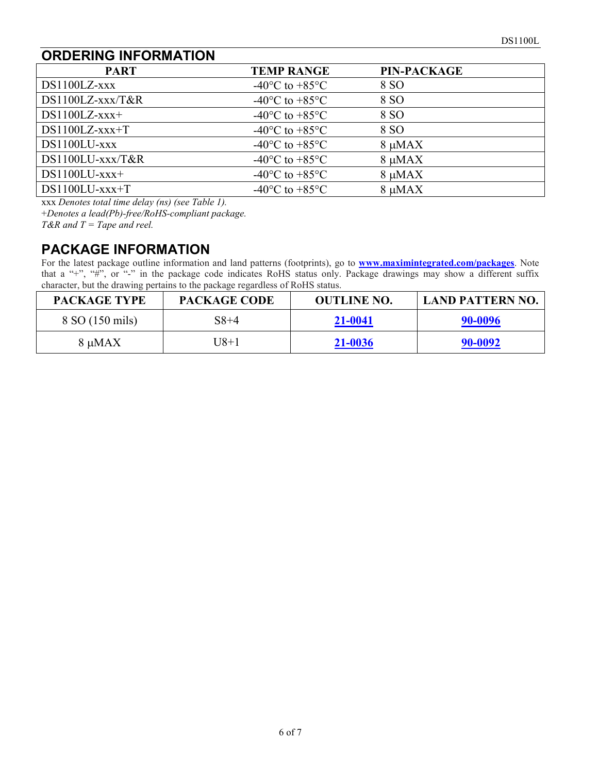### **ORDERING INFORMATION**

| <b>PART</b>          | <b>TEMP RANGE</b>                                    | <b>PIN-PACKAGE</b> |  |
|----------------------|------------------------------------------------------|--------------------|--|
| $DS1100LZ$ -xxx      | $-40^{\circ}$ C to $+85^{\circ}$ C                   | 8 SO               |  |
| $DS1100LZ$ -xxx/T&R  | $-40^{\circ}$ C to $+85^{\circ}$ C                   | 8 SO               |  |
| $DS1100LZ$ -xxx+     | -40 $\mathrm{^{\circ}C}$ to +85 $\mathrm{^{\circ}C}$ | 8 SO               |  |
| $DS1100LZ$ -xxx+T    | $-40^{\circ}$ C to $+85^{\circ}$ C                   | 8 SO               |  |
| $DS1100LU$ - $xxxx$  | -40 $\rm{^{\circ}C}$ to +85 $\rm{^{\circ}C}$         | $8 \mu MAX$        |  |
| DS1100LU-xxx/T&R     | -40 $\rm{^{\circ}C}$ to +85 $\rm{^{\circ}C}$         | $8 \mu MAX$        |  |
| $DS1100LU$ - $xxx+$  | $-40^{\circ}$ C to $+85^{\circ}$ C                   | $8 \mu MAX$        |  |
| $DS1100LU$ - $xxx+T$ | $-40^{\circ}$ C to $+85^{\circ}$ C                   | 8 µMAX             |  |

xxx *Denotes total time delay (ns) (see Table 1).*

+*Denotes a lead(Pb)-free/RoHS-compliant package.*

*T&R and T = Tape and reel.*

### **PACKAGE INFORMATION**

For the latest package outline information and land patterns (footprints), go to **[www.maximintegrated.com/packages](http://www.maximintegrated.com/packages)**. Note that a "+", "#", or "-" in the package code indicates RoHS status only. Package drawings may show a different suffix character, but the drawing pertains to the package regardless of RoHS status.

| <b>PACKAGE TYPE</b> | <b>PACKAGE CODE</b> | <b>OUTLINE NO.</b> | LAND PATTERN NO. |
|---------------------|---------------------|--------------------|------------------|
| 8 SO (150 mils)     | $S8+4$              | 21-0041            | 90-0096          |
| $8 \mu MAX$         | [ ] 8+1             | 21-0036            | 90-0092          |